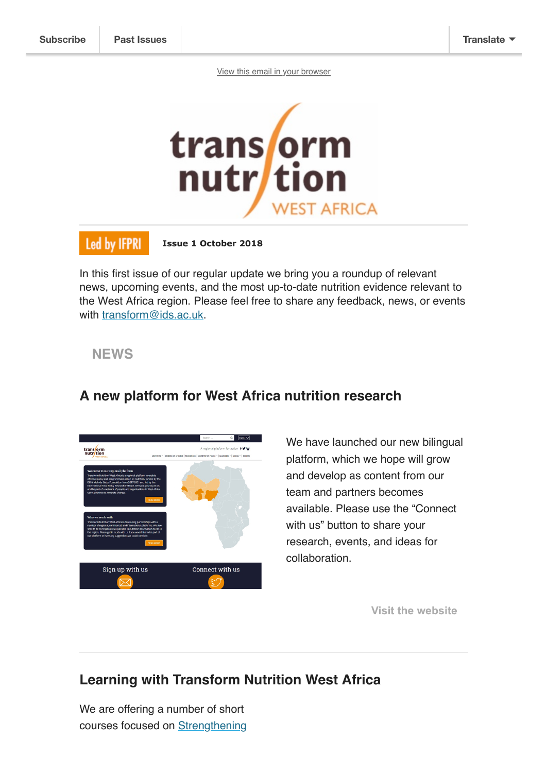[View this email in your browser](https://mailchi.mp/91d02d3f56d4/transform-nutrition-west-africa-update-october-2018?e=[UNIQID])



### Led by IFPRI

 **Issue 1 October 2018**

In this first issue of our regular update we bring you a roundup of relevant news, upcoming events, and the most up-to-date nutrition evidence relevant to the West Africa region. Please feel free to share any feedback, news, or events with [transform@ids.ac.uk.](mailto:transform@ids.ac.uk)

#### **NEWS**



### **A new platform for West Africa nutrition research**

We have launched our new bilingual platform, which we hope will grow and develop as content from our team and partners becomes available. Please use the "Connect with us" button to share your research, events, and ideas for collaboration.

**[Visit the website](https://westafrica.transformnutrition.org/)**

# **Learning with Transform Nutrition West Africa**

We are offering a number of short [courses focused on Strengthening](https://westafrica.transformnutrition.org/learning/advanced-leadership-development-short-course/)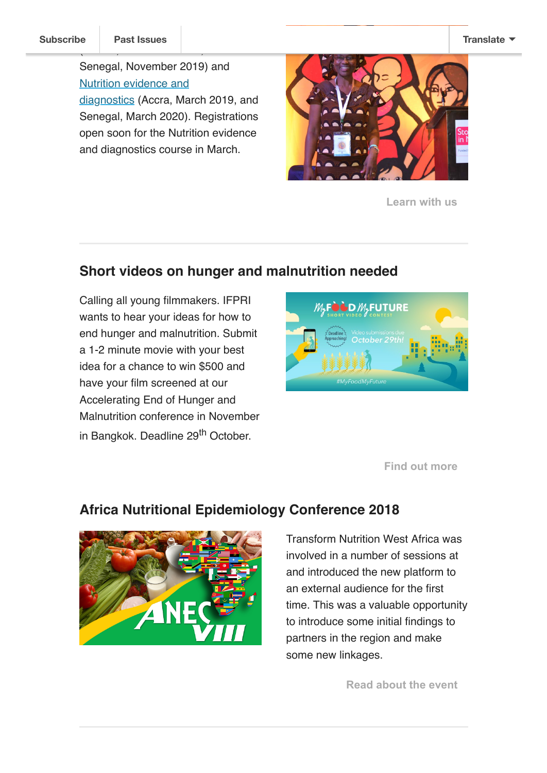(Ghana, November 2018, and

Senegal, November 2019) and Nutrition evidence and [diagnostics \(Accra, Ma](https://westafrica.transformnutrition.org/learning/nutrition-evidence-and-diagnostics-short-course/)rch 2019, and Senegal, March 2020). Registrations open soon for the Nutrition evidence and diagnostics course in March.



**[Learn with us](https://westafrica.transformnutrition.org/learning/nutrition-evidence-and-diagnostics-short-course/)**

## **Short videos on hunger and malnutrition needed**

Calling all young filmmakers. IFPRI wants to hear your ideas for how to end hunger and malnutrition. Submit a 1-2 minute movie with your best idea for a chance to win \$500 and have your film screened at our Accelerating End of Hunger and Malnutrition conference in November in Bangkok. Deadline 29<sup>th</sup> October.



**[Find out more](https://www.ifpri-faobangkokconference.org/video-contest/)**

## **Africa Nutritional Epidemiology Conference 2018**



Transform Nutrition West Africa was involved in a number of sessions at and introduced the new platform to an external audience for the first time. This was a valuable opportunity to introduce some initial findings to partners in the region and make some new linkages.

**[Read about the event](https://westafrica.transformnutrition.org/news/transform-nutrition-west-africa-at-the-africa-nutritional-epidemiology-conference-2018/)**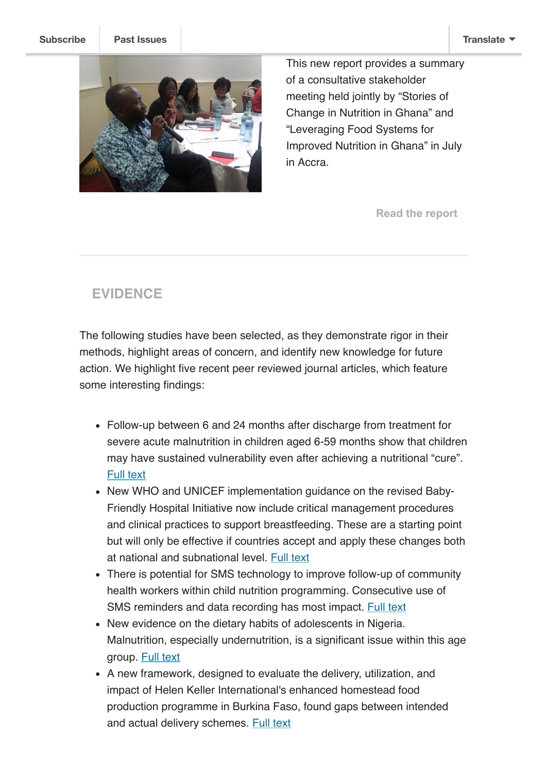

This new report provides a summary of a consultative stakeholder meeting held jointly by "Stories of Change in Nutrition in Ghana" and "Leveraging Food Systems for Improved Nutrition in Ghana" in July in Accra.

**[Read the report](https://westafrica.transformnutrition.org/wp-content/uploads/2018/09/Ghana-Consultative-meeting-report_-Sept-14.pdf)**

# **EVIDENCE**

The following studies have been selected, as they demonstrate rigor in their methods, highlight areas of concern, and identify new knowledge for future action. We highlight five recent peer reviewed journal articles, which feature some interesting findings:

- Follow-up between 6 and 24 months after discharge from treatment for severe acute malnutrition in children aged 6-59 months show that children may have sustained vulnerability even after achieving a nutritional "cure". [Full text](https://doi.org/10.1371/journal.pone.0202053)
- New WHO and UNICEF implementation quidance on the revised Baby-Friendly Hospital Initiative now include critical management procedures and clinical practices to support breastfeeding. These are a starting point but will only be effective if countries accept and apply these changes both at national and subnational level. [Full text](https://onlinelibrary.wiley.com/doi/abs/10.1111/mcn.12637)
- There is potential for SMS technology to improve follow-up of community health workers within child nutrition programming. Consecutive use of SMS reminders and data recording has most impact. [Full text](http://www.ghspjournal.org/content/6/2/345)
- New evidence on the dietary habits of adolescents in Nigeria. Malnutrition, especially undernutrition, is a significant issue within this age group. [Full text](http://www.sciencepublishinggroup.com/journal/paperinfo?journalid=153&doi=10.11648/j.ijnfs.20180704.12)
- A new framework, designed to evaluate the delivery, utilization, and impact of Helen Keller International's enhanced homestead food production programme in Burkina Faso, found gaps between intended and actual delivery schemes. [Full text](https://www.ncbi.nlm.nih.gov/pubmed/29278449)